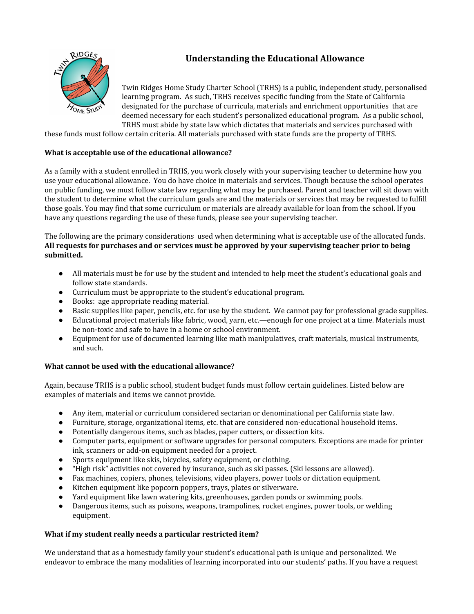# **Understanding the Educational Allowance**



Twin Ridges Home Study Charter School (TRHS) is a public, independent study, personalised learning program. As such, TRHS receives specific funding from the State of California designated for the purchase of curricula, materials and enrichment opportunities that are deemed necessary for each student's personalized educational program. As a public school, TRHS must abide by state law which dictates that materials and services purchased with

these funds must follow certain criteria. All materials purchased with state funds are the property of TRHS.

### **What is acceptable use of the educational allowance?**

As a family with a student enrolled in TRHS, you work closely with your supervising teacher to determine how you use your educational allowance. You do have choice in materials and services. Though because the school operates on public funding, we must follow state law regarding what may be purchased. Parent and teacher will sit down with the student to determine what the curriculum goals are and the materials or services that may be requested to fulfill those goals. You may find that some curriculum or materials are already available for loan from the school. If you have any questions regarding the use of these funds, please see your supervising teacher.

The following are the primary considerations used when determining what is acceptable use of the allocated funds. **All requests for purchases and or services must be approved by your supervising teacher prior to being submitted.**

- All materials must be for use by the student and intended to help meet the student's educational goals and follow state standards.
- Curriculum must be appropriate to the student's educational program.
- Books: age appropriate reading material.
- Basic supplies like paper, pencils, etc. for use by the student. We cannot pay for professional grade supplies.
- Educational project materials like fabric, wood, yarn, etc.—enough for one project at a time. Materials must be non-toxic and safe to have in a home or school environment.
- Equipment for use of documented learning like math manipulatives, craft materials, musical instruments, and such.

#### **What cannot be used with the educational allowance?**

Again, because TRHS is a public school, student budget funds must follow certain guidelines. Listed below are examples of materials and items we cannot provide.

- Any item, material or curriculum considered sectarian or denominational per California state law.
- Furniture, storage, organizational items, etc. that are considered non-educational household items.
- Potentially dangerous items, such as blades, paper cutters, or dissection kits.
- Computer parts, equipment or software upgrades for personal computers. Exceptions are made for printer ink, scanners or add-on equipment needed for a project.
- Sports equipment like skis, bicycles, safety equipment, or clothing.
- "High risk" activities not covered by insurance, such as ski passes. (Ski lessons are allowed).
- Fax machines, copiers, phones, televisions, video players, power tools or dictation equipment.
- Kitchen equipment like popcorn poppers, trays, plates or silverware.
- Yard equipment like lawn watering kits, greenhouses, garden ponds or swimming pools.
- Dangerous items, such as poisons, weapons, trampolines, rocket engines, power tools, or welding equipment.

#### **What if my student really needs a particular restricted item?**

We understand that as a homestudy family your student's educational path is unique and personalized. We endeavor to embrace the many modalities of learning incorporated into our students' paths. If you have a request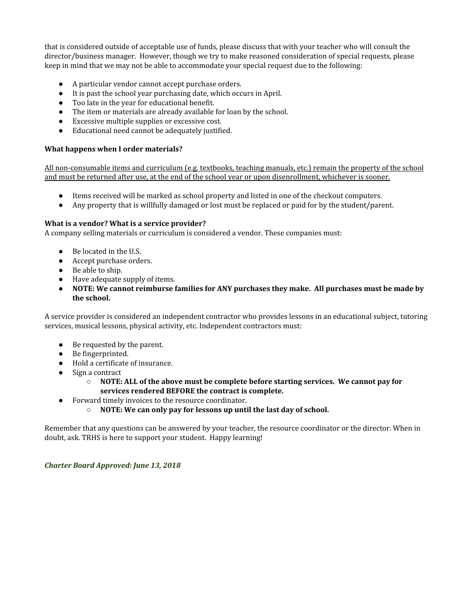that is considered outside of acceptable use of funds, please discuss that with your teacher who will consult the director/business manager. However, though we try to make reasoned consideration of special requests, please keep in mind that we may not be able to accommodate your special request due to the following:

- A particular vendor cannot accept purchase orders.
- It is past the school year purchasing date, which occurs in April.
- Too late in the year for educational benefit.
- The item or materials are already available for loan by the school.
- Excessive multiple supplies or excessive cost.
- Educational need cannot be adequately justified.

### **What happens when I order materials?**

All non-consumable items and curriculum (e.g. textbooks, teaching manuals, etc.) remain the property of the school and must be returned after use, at the end of the school year or upon disenrollment, whichever is sooner.

- Items received will be marked as school property and listed in one of the checkout computers.
- Any property that is willfully damaged or lost must be replaced or paid for by the student/parent.

#### **What is a vendor? What is a service provider?**

A company selling materials or curriculum is considered a vendor. These companies must:

- Be located in the U.S.
- Accept purchase orders.
- Be able to ship.
- Have adequate supply of items.
- **● NOTE: We cannot reimburse families for ANY purchases they make. All purchases must be made by the school.**

A service provider is considered an independent contractor who provides lessons in an educational subject, tutoring services, musical lessons, physical activity, etc. Independent contractors must:

- Be requested by the parent.
- Be fingerprinted.
- Hold a certificate of insurance.
- Sign a contract
	- **NOTE: ALL of the above must be complete before starting services. We cannot pay for services rendered BEFORE the contract is complete.**
- Forward timely invoices to the resource coordinator.
	- **○ NOTE: We can only pay for lessons up until the last day of school.**

Remember that any questions can be answered by your teacher, the resource coordinator or the director. When in doubt, ask. TRHS is here to support your student. Happy learning!

*Charter Board Approved: June 13, 2018*